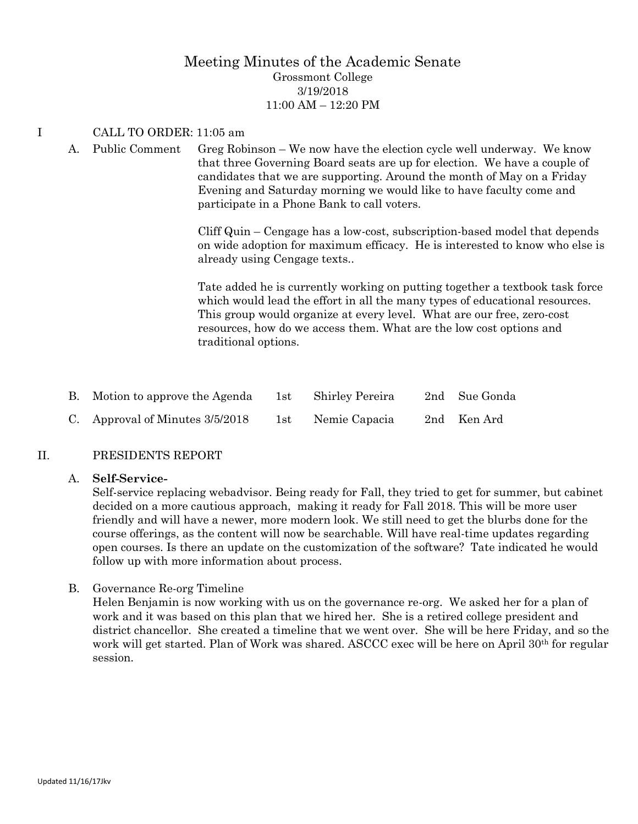### Meeting Minutes of the Academic Senate Grossmont College 3/19/2018 11:00 AM – 12:20 PM

#### I CALL TO ORDER: 11:05 am

A. Public Comment Greg Robinson – We now have the election cycle well underway. We know that three Governing Board seats are up for election. We have a couple of candidates that we are supporting. Around the month of May on a Friday Evening and Saturday morning we would like to have faculty come and participate in a Phone Bank to call voters.

> Cliff Quin – Cengage has a low-cost, subscription-based model that depends on wide adoption for maximum efficacy. He is interested to know who else is already using Cengage texts..

> Tate added he is currently working on putting together a textbook task force which would lead the effort in all the many types of educational resources. This group would organize at every level. What are our free, zero-cost resources, how do we access them. What are the low cost options and traditional options.

| B. Motion to approve the Agenda   |                | 1st Shirley Pereira | 2nd Sue Gonda |
|-----------------------------------|----------------|---------------------|---------------|
| C. Approval of Minutes $3/5/2018$ | $1\mathrm{st}$ | Nemie Capacia       | 2nd Ken Ard   |

#### II. PRESIDENTS REPORT

#### A. **Self-Service-**

Self-service replacing webadvisor. Being ready for Fall, they tried to get for summer, but cabinet decided on a more cautious approach, making it ready for Fall 2018. This will be more user friendly and will have a newer, more modern look. We still need to get the blurbs done for the course offerings, as the content will now be searchable. Will have real-time updates regarding open courses. Is there an update on the customization of the software? Tate indicated he would follow up with more information about process.

B. Governance Re-org Timeline

Helen Benjamin is now working with us on the governance re-org. We asked her for a plan of work and it was based on this plan that we hired her. She is a retired college president and district chancellor. She created a timeline that we went over. She will be here Friday, and so the work will get started. Plan of Work was shared. ASCCC exec will be here on April 30<sup>th</sup> for regular session.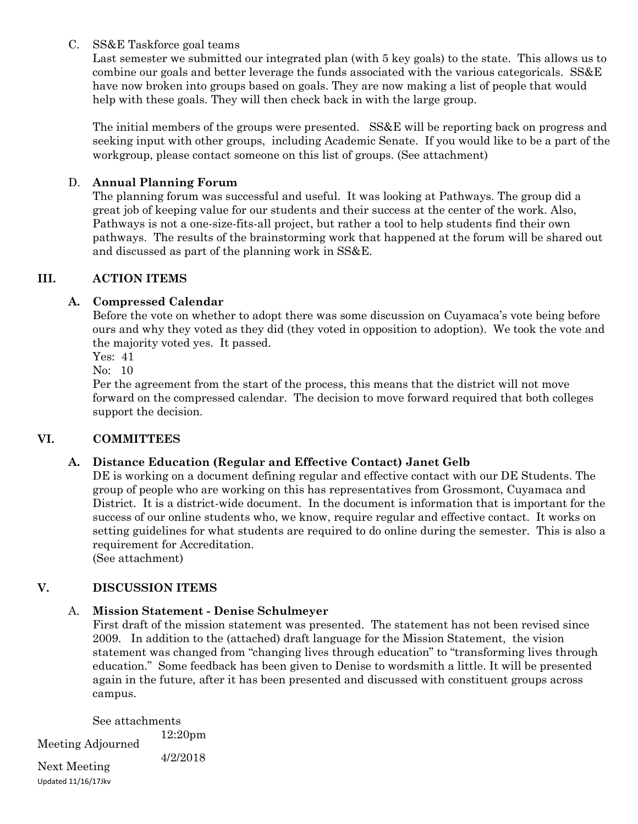#### C. SS&E Taskforce goal teams

Last semester we submitted our integrated plan (with 5 key goals) to the state. This allows us to combine our goals and better leverage the funds associated with the various categoricals. SS&E have now broken into groups based on goals. They are now making a list of people that would help with these goals. They will then check back in with the large group.

The initial members of the groups were presented. SS&E will be reporting back on progress and seeking input with other groups, including Academic Senate. If you would like to be a part of the workgroup, please contact someone on this list of groups. (See attachment)

### D. **Annual Planning Forum**

The planning forum was successful and useful. It was looking at Pathways. The group did a great job of keeping value for our students and their success at the center of the work. Also, Pathways is not a one-size-fits-all project, but rather a tool to help students find their own pathways. The results of the brainstorming work that happened at the forum will be shared out and discussed as part of the planning work in SS&E.

### **III. ACTION ITEMS**

## **A. Compressed Calendar**

Before the vote on whether to adopt there was some discussion on Cuyamaca's vote being before ours and why they voted as they did (they voted in opposition to adoption). We took the vote and the majority voted yes. It passed.

Yes: 41

No: 10

Per the agreement from the start of the process, this means that the district will not move forward on the compressed calendar. The decision to move forward required that both colleges support the decision.

### **VI. COMMITTEES**

### **A. Distance Education (Regular and Effective Contact) Janet Gelb**

DE is working on a document defining regular and effective contact with our DE Students. The group of people who are working on this has representatives from Grossmont, Cuyamaca and District. It is a district-wide document. In the document is information that is important for the success of our online students who, we know, require regular and effective contact. It works on setting guidelines for what students are required to do online during the semester. This is also a requirement for Accreditation.

(See attachment)

### **V. DISCUSSION ITEMS**

### A. **Mission Statement - Denise Schulmeyer**

First draft of the mission statement was presented. The statement has not been revised since 2009. In addition to the (attached) draft language for the Mission Statement, the vision statement was changed from "changing lives through education" to "transforming lives through education." Some feedback has been given to Denise to wordsmith a little. It will be presented again in the future, after it has been presented and discussed with constituent groups across campus.

See attachments

Meeting Adjourned 12:20pm

4/2/2018

Updated 11/16/17Jkv Next Meeting